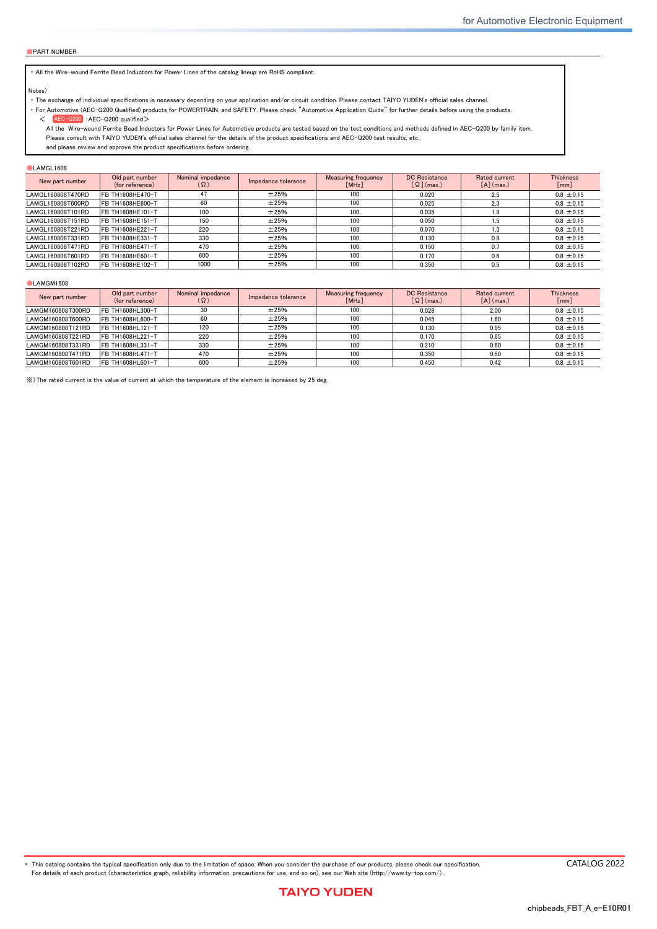#### ■ Limited Application

#### 1. Equipment Intended for Use

The products listed in this catalog are intended for general-purpose and standard use in general electronic equipment for consumer (e.g., AV equipment, OA equipment, home electric appliances, office equipment, information and communication equipment including, without limitation, mobile phone, and PC) and other equipment specified in this catalog or the individual product specification sheets, or the equipment approved separately by TAIYO YUDEN.

TAIYO YUDEN has the product series intended for use in the following equipment. Therefore, when using our products for these equipment, please check available applications specified in this catalog or the individual product specification sheets and use the corresponding products.

|             | <b>Product Series</b>                                                        |   |                             |  |
|-------------|------------------------------------------------------------------------------|---|-----------------------------|--|
| Application | Category<br>Equipment <sup>*1</sup><br>(Part Number Code <sup>*2</sup> )     |   | Quality Grade <sup>*3</sup> |  |
| Automotive  | Automotive Electronic Equipment<br>(POWERTRAIN, SAFETY)                      | A |                             |  |
|             | Automotive Electronic Equipment<br>(BODY & CHASSIS, INFOTAINMENT)            | C | 2                           |  |
| Industrial  | Telecommunications Infrastructure and<br><b>Industrial Equipment</b>         | B | 2                           |  |
| Medical     | Medical Devices classified as GHTF Class C<br>(Japan Class III)              | M | 2                           |  |
|             | Medical Devices classified as GHTF Classes A or B<br>(Japan Classes I or II) |   | 3                           |  |
| Consumer    | General Electronic Equipment                                                 | S | 3                           |  |

\*Notes: 1. Based on the general specifications required for electronic components for such equipment, which are recognized by TAIYO YUDEN,<br>the use of each product series for the equipment is recommended. Please be sure to

please check the explanatory materials regarding the part numbering system of each of our products.<br>3. Each product series is assigned a "Quality Grade" from 1 to 3 in order of higher quality. Please do not incorporate a p

equipment with a higher Quality Grade than the Quality Grade of such product without the prior written consent of TAIYO YUDEN.

#### 2. Equipment Requiring Inquiry

Please be sure to contact TAIYO YUDEN for further information before using the products listed in this catalog for the following equipment (excluding intended equipment as specified in this catalog or the individual product specification sheets) which may cause loss of human life, bodily injury, serious property damage and/or serious public impact due to a failure or defect of the products and/or malfunction attributed thereto.

(1) Transportation equipment (automotive powertrain control system, train control system, and ship control system, etc.)

(2) Traffic signal equipment

- (3) Disaster prevention equipment, crime prevention equipment
- (4) Medical devices classified as GHTF Class C (Japan Class III)
- (5) Highly public information network equipment, data-processing equipment (telephone exchange, and base station, etc.)

(6) Any other equipment requiring high levels of quality and/or reliability equal to the equipment listed above

#### 3. Equipment Prohibited for Use

Please do not incorporate our products into the following equipment requiring extremely high levels of safety and/or reliability. (1) Aerospace equipment (artificial satellite, rocket, etc.)

(2) Aviation equipment \*1

(3) Medical devices classified as GHTF Class D (Japan Class IV), implantable medical devices  $*2$ 

- (4) Power generation control equipment (nuclear power, hydroelectric power, thermal power plant control system, etc.)
- (5) Undersea equipment (submarine repeating equipment, etc.)
- (6) Military equipment

(7) Any other equipment requiring extremely high levels of safety and/or reliability equal to the equipment listed above

- \*Notes: 1. There is a possibility that our products can be used only for aviation equipment that does not directly affect the safe operation of aircraft (e.g., in-flight entertainment, cabin light, electric seat, cooking e
	- <sup>2</sup>. Implantable medical devices contain not only internal unit which is implanted in a body, but also external unit which is connected to the internal unit.

#### 4. Limitation of Liability

Please note that unless you obtain prior written consent of TAIYO YUDEN, TAIYO YUDEN shall not be in any way responsible for any damages incurred by you or third parties arising from use of the products listed in this catalog for any equipment that is not intended for use by TAIYO YUDEN, or any equipment requiring inquiry to TAIYO YUDEN or prohibited for use by TAIYO YUDEN as described above.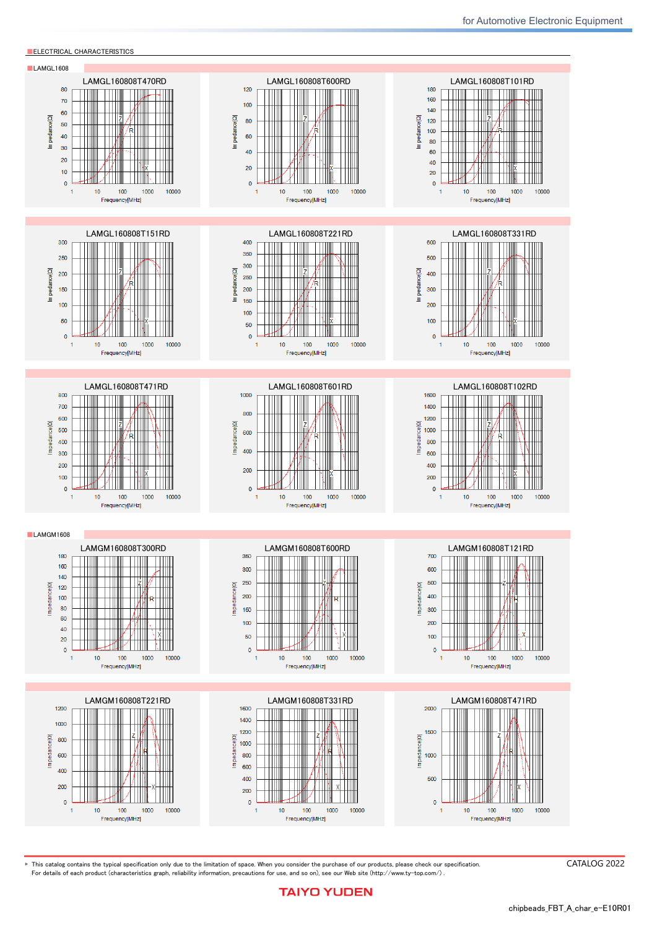# Automotive Application Guide

we classify automotive electronic equipment into the following four application categories ar<br>usable application categories for each of our products. Therefore, we have the corresponding We classify automotive electronic equipment into the following four application categories and set product series (the part number code of 2nd digit from the left side is "A" or "C"). When using our products for automotive electronic equipment, please be sure to check such application categories and use the corresponding product series accordingly. Should you have any questions on this matter, please contact us.

**for High Quality Equipment**

| <b>Product Series</b><br>(Part Number Code of 2nd digit<br>from the Left Side) | Category                  | Automotive Electronic Equipment (Typical Example)                                                                                                                                                                                                                                      |
|--------------------------------------------------------------------------------|---------------------------|----------------------------------------------------------------------------------------------------------------------------------------------------------------------------------------------------------------------------------------------------------------------------------------|
| A                                                                              | <b>POWERTRAIN</b>         | · Engine ECU (Electronically Controlled Fuel Injector)<br>• Cruise Control Unit<br>· 4WS (4 Wheel Steering)<br>• Transmission<br>• Power Steering<br>• HEV/PHV/EV Core Control (Battery, Inverter, DC-DC)<br>• Automotive Locator (Car location information providing device),<br>etc. |
|                                                                                | <b>SAFETY</b>             | • ABS (Anti-Lock Brake System)<br>• ESC (Electronic Stability Control)<br>• Airbag<br>• ADAS (Equipment that directly controls running, turning and<br>stopping), etc.                                                                                                                 |
|                                                                                | <b>BODY &amp; CHASSIS</b> | • Wiper<br>• Automatic Door<br>• Power Window<br>• Keyless Entry System<br>· Electric Door Mirror<br>• Automobile Digital Mirror<br>· Interior Lighting<br>• Automobile Air Conditioning System<br>• TPMS (Tire Pressure Monitoring System)<br>· Anti-Theft Device (Immobilizer), etc. |
|                                                                                | <b>INFOTAINMENT</b>       | • Car Infotainment System<br>• ITS/Telematics System<br>· Instrument Cluster<br>• ADAS (Sensor, Equipment that is not interlocked with safety<br>equipment or powertrain)<br>Dashcam (genuine products for automotive manufacturer), etc.                                              |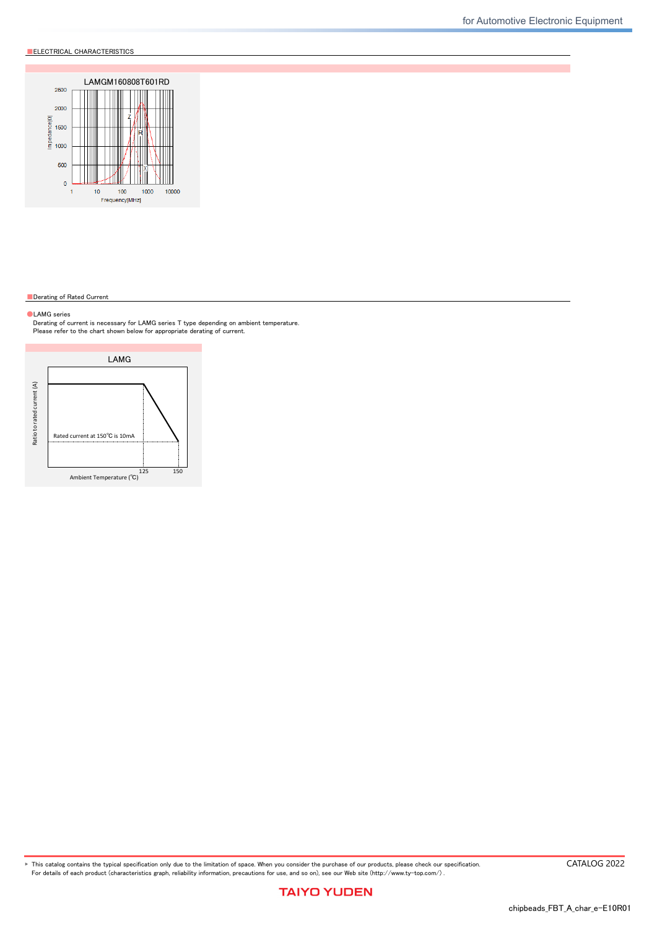# Wire-wound Ferrite Bead Inductors for Power Lines LAMG series

for Automotive Powertrain and Safety<br>Code in front of Series have been extracted from Part number, which describes the segment of products, such as kinds and characteristics. AEC-Q200 Grade 1 (we conduct the evaluation at the test condition of Grade 1.) \*Operating environment Temp:-40~125℃ ■PART NUMBER **■**PART NUMBER **\*Operating Temp. : -40~150°C (Including self-generated heat)** L A M G|| L|| 1 6 0 8|| 0 8|| T|| 4 7 0|| R|| D ① ② ③ ④ ⑤ ⑥ ⑦ ⑧ ①Series Code  $(1)(2)(3)(4)$ LAMG Wire-wound Ferrite Bead Inductors for Power Lines, for Automotive Powertrain and Safety (1) Product Group Code L **Inductors** (2) Category Code Recommended equipment Quality Grade Automotive Electronic Equipment ouve Electronic Equipment<br>(Powertrain, Safety) 1 (3) Type Code M Ferrite Wire-wound bead (4) Features, Characteristics Code G High frequency ②Features Code | Feature L 150℃ (Wide frequency band) M 150<sup>°</sup>C (High frequency) ③Dimensions(L×W) Code  $Type(inch)$  Dimensions  $(L \times W)$ [mm] 1608 1608(0603) 1.6×0.8 ④Dimensions(T) Code Dimensions(T)[mm] 08 0.8 ⑤Packaging Code | Packaging T Taping ⑦Nominal inductance Code (example) Nominal inductance[µH] 330 33 221 220 102 1000 ⑦Impedance tolerance Code | Impedance tolerance R  $\pm 25\%$ ⑧Internal code ■STANDARD EXTERNAL DIMENSIONS / STANDARD QUANTITY Recommended Land Patterns  $Type$   $A$   $B$   $C$ **REFLOW** AEC-Q200 W



| Type             |                                      |                                     |                                     |                                      | Standard quantity [pcs] |                           |
|------------------|--------------------------------------|-------------------------------------|-------------------------------------|--------------------------------------|-------------------------|---------------------------|
|                  |                                      |                                     |                                     | e                                    | Paper tape              | <b>Embossed tape</b>      |
| 160808<br>(0603) | $.6 \pm 0.15$<br>$(0.063 \pm 0.006)$ | $0.8 + 0.15$<br>$(0.031 \pm 0.006)$ | $0.8 + 0.15$<br>$(0.031 \pm 0.006)$ | $0.4 \pm 0.2$<br>$(0.015 \pm 0.008)$ | 4000                    |                           |
|                  |                                      |                                     |                                     |                                      |                         | $Unit : \text{mm}$ (inch) |